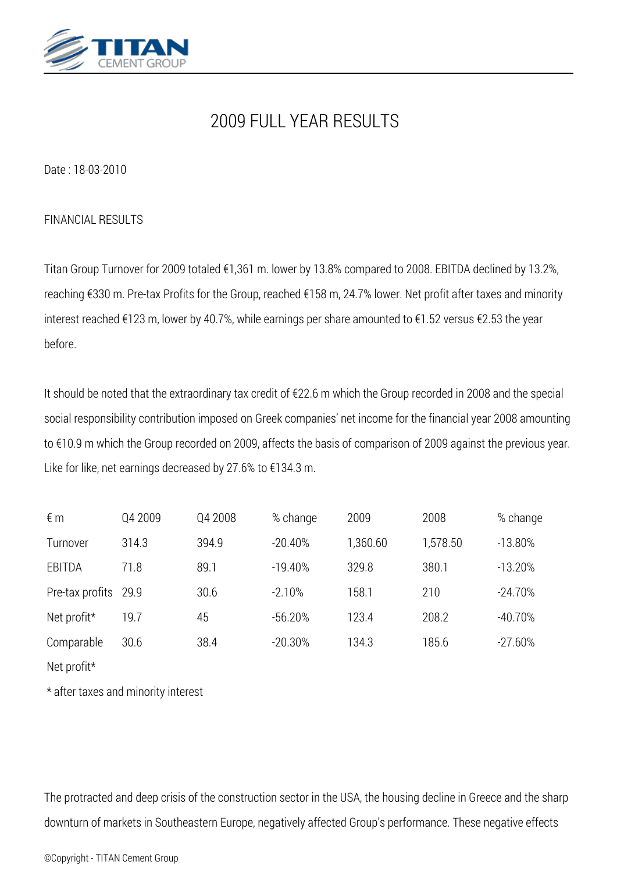

## *2009 FULL YEAR RESULTS*

*Date : 18-03-2010*

*FINANCIAL RESULTS*

*Titan Group Turnover for 2009 totaled €1,361 m. lower by 13.8% compared to 2008. EBITDA declined by 13.2%, reaching €330 m. Pre-tax Profits for the Group, reached €158 m, 24.7% lower. Net profit after taxes and minority interest reached €123 m, lower by 40.7%, while earnings per share amounted to €1.52 versus €2.53 the year before.*

*It should be noted that the extraordinary tax credit of €22.6 m which the Group recorded in 2008 and the special social responsibility contribution imposed on Greek companies' net income for the financial year 2008 amounting to €10.9 m which the Group recorded on 2009, affects the basis of comparison of 2009 against the previous year. Like for like, net earnings decreased by 27.6% to €134.3 m.*

| $\notin$ m           | Q4 2009 | Q4 2008 | % change  | 2009     | 2008     | % change   |
|----------------------|---------|---------|-----------|----------|----------|------------|
| Turnover             | 314.3   | 394.9   | $-20.40%$ | 1,360.60 | 1,578.50 | $-13.80\%$ |
| EBITDA               | 71.8    | 89.1    | $-19.40%$ | 329.8    | 380.1    | $-13.20%$  |
| Pre-tax profits 29.9 |         | 30.6    | $-2.10%$  | 158.1    | 210      | $-24.70%$  |
| Net profit*          | 19.7    | 45      | $-56.20%$ | 123.4    | 208.2    | $-40.70%$  |
| Comparable           | 30.6    | 38.4    | $-20.30%$ | 134.3    | 185.6    | $-27.60%$  |
| Net profit*          |         |         |           |          |          |            |

*\* after taxes and minority interest* 

*The protracted and deep crisis of the construction sector in the USA, the housing decline in Greece and the sharp downturn of markets in Southeastern Europe, negatively affected Group's performance. These negative effects*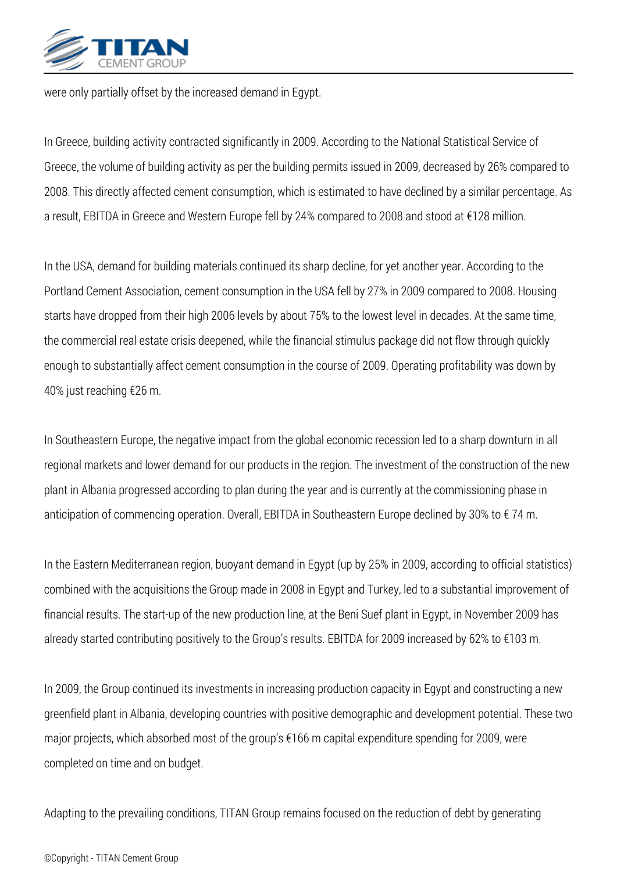

*were only partially offset by the increased demand in Egypt.*

*In Greece, building activity contracted significantly in 2009. According to the National Statistical Service of Greece, the volume of building activity as per the building permits issued in 2009, decreased by 26% compared to 2008. This directly affected cement consumption, which is estimated to have declined by a similar percentage. As a result, EBITDA in Greece and Western Europe fell by 24% compared to 2008 and stood at €128 million.*

*In the USA, demand for building materials continued its sharp decline, for yet another year. According to the Portland Cement Association, cement consumption in the USA fell by 27% in 2009 compared to 2008. Housing starts have dropped from their high 2006 levels by about 75% to the lowest level in decades. At the same time, the commercial real estate crisis deepened, while the financial stimulus package did not flow through quickly enough to substantially affect cement consumption in the course of 2009. Operating profitability was down by 40% just reaching €26 m.*

*In Southeastern Europe, the negative impact from the global economic recession led to a sharp downturn in all regional markets and lower demand for our products in the region. The investment of the construction of the new plant in Albania progressed according to plan during the year and is currently at the commissioning phase in anticipation of commencing operation. Overall, EBITDA in Southeastern Europe declined by 30% to € 74 m.*

*In the Eastern Mediterranean region, buoyant demand in Egypt (up by 25% in 2009, according to official statistics) combined with the acquisitions the Group made in 2008 in Egypt and Turkey, led to a substantial improvement of financial results. The start-up of the new production line, at the Beni Suef plant in Egypt, in November 2009 has already started contributing positively to the Group's results. EBITDA for 2009 increased by 62% to €103 m.*

*In 2009, the Group continued its investments in increasing production capacity in Egypt and constructing a new greenfield plant in Albania, developing countries with positive demographic and development potential. These two major projects, which absorbed most of the group's €166 m capital expenditure spending for 2009, were completed on time and on budget.*

*Adapting to the prevailing conditions, TITAN Group remains focused on the reduction of debt by generating*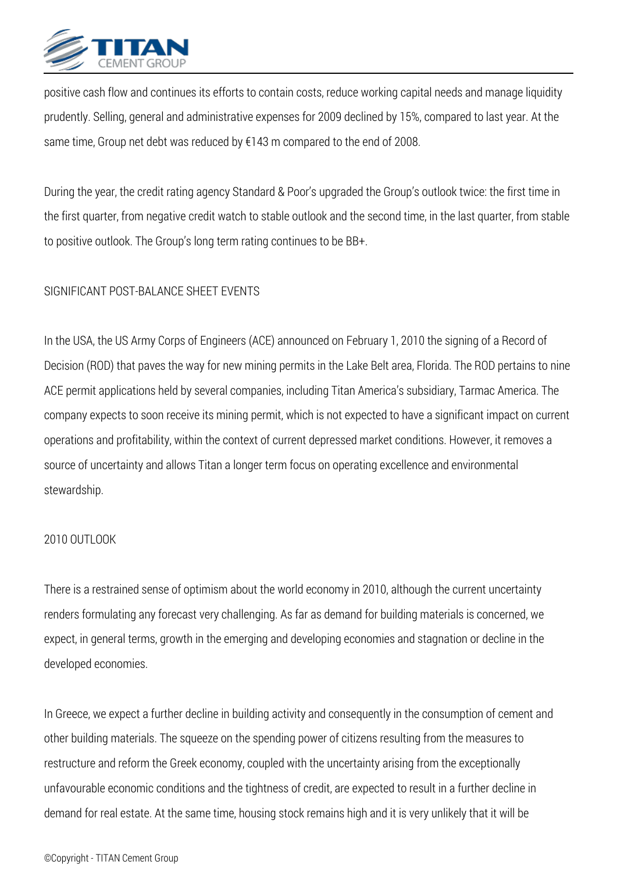

*positive cash flow and continues its efforts to contain costs, reduce working capital needs and manage liquidity prudently. Selling, general and administrative expenses for 2009 declined by 15%, compared to last year. At the same time, Group net debt was reduced by €143 m compared to the end of 2008.*

*During the year, the credit rating agency Standard & Poor's upgraded the Group's outlook twice: the first time in the first quarter, from negative credit watch to stable outlook and the second time, in the last quarter, from stable to positive outlook. The Group's long term rating continues to be BB+.*

## *SIGNIFICANT POST-BALANCE SHEET EVENTS*

*In the USA, the US Army Corps of Engineers (ACE) announced on February 1, 2010 the signing of a Record of Decision (ROD) that paves the way for new mining permits in the Lake Belt area, Florida. The ROD pertains to nine ACE permit applications held by several companies, including Titan America's subsidiary, Tarmac America. The company expects to soon receive its mining permit, which is not expected to have a significant impact on current operations and profitability, within the context of current depressed market conditions. However, it removes a source of uncertainty and allows Titan a longer term focus on operating excellence and environmental stewardship.*

## *2010 OUTLOOK*

*There is a restrained sense of optimism about the world economy in 2010, although the current uncertainty renders formulating any forecast very challenging. As far as demand for building materials is concerned, we expect, in general terms, growth in the emerging and developing economies and stagnation or decline in the developed economies.*

*In Greece, we expect a further decline in building activity and consequently in the consumption of cement and other building materials. The squeeze on the spending power of citizens resulting from the measures to restructure and reform the Greek economy, coupled with the uncertainty arising from the exceptionally unfavourable economic conditions and the tightness of credit, are expected to result in a further decline in demand for real estate. At the same time, housing stock remains high and it is very unlikely that it will be*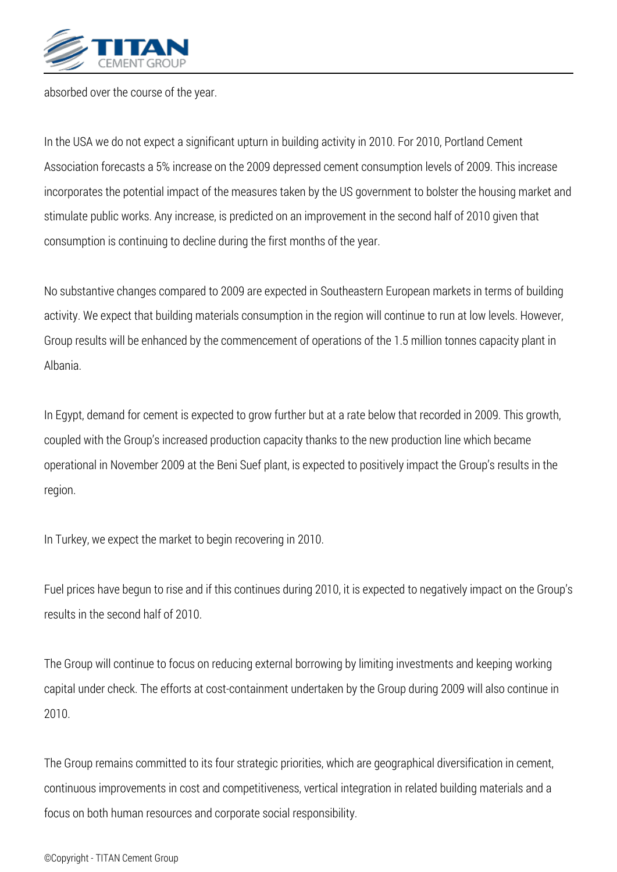

*absorbed over the course of the year.*

*In the USA we do not expect a significant upturn in building activity in 2010. For 2010, Portland Cement Association forecasts a 5% increase on the 2009 depressed cement consumption levels of 2009. This increase incorporates the potential impact of the measures taken by the US government to bolster the housing market and stimulate public works. Any increase, is predicted on an improvement in the second half of 2010 given that consumption is continuing to decline during the first months of the year.*

*No substantive changes compared to 2009 are expected in Southeastern European markets in terms of building activity. We expect that building materials consumption in the region will continue to run at low levels. However, Group results will be enhanced by the commencement of operations of the 1.5 million tonnes capacity plant in Albania.*

*In Egypt, demand for cement is expected to grow further but at a rate below that recorded in 2009. This growth, coupled with the Group's increased production capacity thanks to the new production line which became operational in November 2009 at the Beni Suef plant, is expected to positively impact the Group's results in the region.*

*In Turkey, we expect the market to begin recovering in 2010.*

*Fuel prices have begun to rise and if this continues during 2010, it is expected to negatively impact on the Group's results in the second half of 2010.*

*The Group will continue to focus on reducing external borrowing by limiting investments and keeping working capital under check. The efforts at cost-containment undertaken by the Group during 2009 will also continue in 2010.*

*The Group remains committed to its four strategic priorities, which are geographical diversification in cement, continuous improvements in cost and competitiveness, vertical integration in related building materials and a focus on both human resources and corporate social responsibility.*